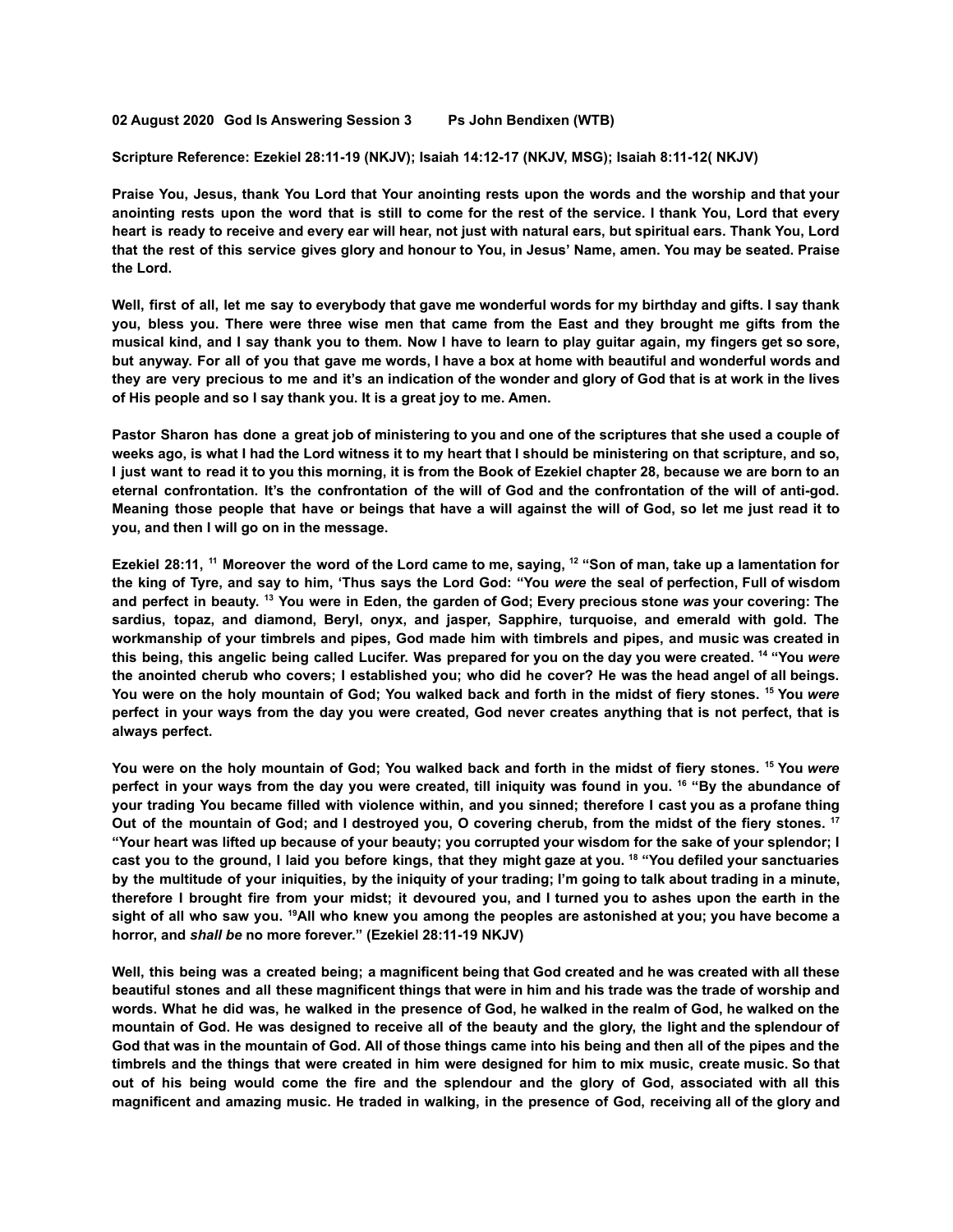**02 August 2020 God Is Answering Session 3 Ps John Bendixen (WTB)**

**Scripture Reference: Ezekiel 28:11-19 (NKJV); Isaiah 14:12-17 (NKJV, MSG); Isaiah 8:11-12( NKJV)**

Praise You, Jesus, thank You Lord that Your anointing rests upon the words and the worship and that your anointing rests upon the word that is still to come for the rest of the service. I thank You, Lord that every heart is ready to receive and every ear will hear, not just with natural ears, but spiritual ears. Thank You, Lord that the rest of this service gives glory and honour to You, in Jesus' Name, amen. You may be seated. Praise **the Lord.**

Well, first of all, let me say to everybody that gave me wonderful words for my birthday and gifts. I say thank you, bless you. There were three wise men that came from the East and they brought me gifts from the musical kind, and I say thank you to them. Now I have to learn to play guitar again, my fingers get so sore, but anyway. For all of you that gave me words, I have a box at home with beautiful and wonderful words and they are very precious to me and it's an indication of the wonder and glory of God that is at work in the lives **of His people and so I say thank you. It is a great joy to me. Amen.**

Pastor Sharon has done a great job of ministering to you and one of the scriptures that she used a couple of weeks ago, is what I had the Lord witness it to my heart that I should be ministering on that scripture, and so, I just want to read it to you this morning, it is from the Book of Ezekiel chapter 28, because we are born to an eternal confrontation. It's the confrontation of the will of God and the confrontation of the will of anti-god. Meaning those people that have or beings that have a will against the will of God, so let me just read it to **you, and then I will go on in the message.**

Ezekiel 28:11, <sup>11</sup> Moreover the word of the Lord came to me, saying, <sup>12</sup> "Son of man, take up a lamentation for the king of Tyre, and say to him, 'Thus says the Lord God: "You were the seal of perfection, Full of wisdom and perfect in beauty. <sup>13</sup> You were in Eden, the garden of God; Every precious stone was your covering: The **sardius, topaz, and diamond, Beryl, onyx, and jasper, Sapphire, turquoise, and emerald with gold. The** workmanship of your timbrels and pipes, God made him with timbrels and pipes, and music was created in this being, this angelic being called Lucifer. Was prepared for you on the day you were created. <sup>14</sup> "You were the anointed cherub who covers; I established you; who did he cover? He was the head angel of all beings. You were on the holy mountain of God; You walked back and forth in the midst of fiery stones. <sup>15</sup> You were perfect in your ways from the day you were created, God never creates anything that is not perfect, that is **always perfect.**

You were on the holy mountain of God; You walked back and forth in the midst of fiery stones. <sup>15</sup> You were perfect in your ways from the day you were created, till iniquity was found in you. <sup>16</sup> "By the abundance of your trading You became filled with violence within, and you sinned; therefore I cast you as a profane thing Out of the mountain of God; and I destroyed you, O covering cherub, from the midst of the fiery stones. <sup>17</sup> "Your heart was lifted up because of your beauty; you corrupted your wisdom for the sake of your splendor; I cast you to the ground, I laid you before kings, that they might gaze at you. <sup>18</sup> "You defiled your sanctuaries by the multitude of your iniquities, by the iniquity of your trading; I'm going to talk about trading in a minute, therefore I brought fire from your midst; it devoured you, and I turned you to ashes upon the earth in the sight of all who saw you. <sup>19</sup>All who knew you among the peoples are astonished at you; you have become a **horror, and** *shall be* **no more forever." (Ezekiel 28:11-19 NKJV)**

Well, this being was a created being; a magnificent being that God created and he was created with all these beautiful stones and all these magnificent things that were in him and his trade was the trade of worship and words. What he did was, he walked in the presence of God, he walked in the realm of God, he walked on the mountain of God. He was designed to receive all of the beauty and the glory, the light and the splendour of God that was in the mountain of God. All of those things came into his being and then all of the pipes and the timbrels and the things that were created in him were designed for him to mix music, create music. So that out of his being would come the fire and the splendour and the glory of God, associated with all this magnificent and amazing music. He traded in walking, in the presence of God, receiving all of the glory and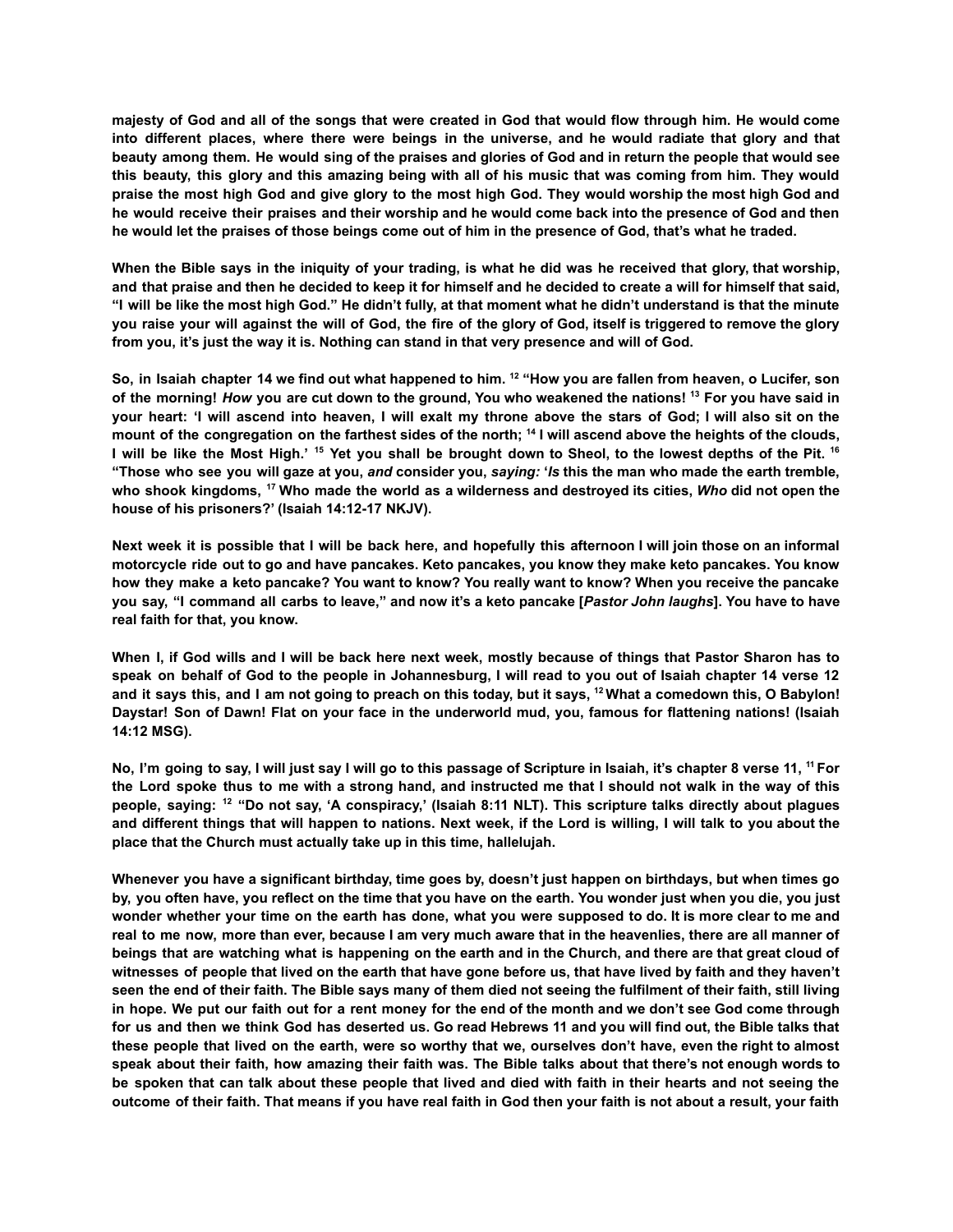majesty of God and all of the songs that were created in God that would flow through him. He would come into different places, where there were beings in the universe, and he would radiate that glory and that beauty among them. He would sing of the praises and glories of God and in return the people that would see this beauty, this glory and this amazing being with all of his music that was coming from him. They would praise the most high God and give glory to the most high God. They would worship the most high God and he would receive their praises and their worship and he would come back into the presence of God and then **he would let the praises of those beings come out of him in the presence of God, that's what he traded.**

When the Bible says in the iniquity of your trading, is what he did was he received that glory, that worship, and that praise and then he decided to keep it for himself and he decided to create a will for himself that said, "I will be like the most high God." He didn't fully, at that moment what he didn't understand is that the minute you raise your will against the will of God, the fire of the glory of God, itself is triggered to remove the glory **from you, it's just the way it is. Nothing can stand in that very presence and will of God.**

So, in Isaiah chapter 14 we find out what happened to him. <sup>12</sup> "How you are fallen from heaven, o Lucifer, son of the morning! How you are cut down to the ground, You who weakened the nations! 13 For you have said in your heart: 'I will ascend into heaven, I will exalt my throne above the stars of God; I will also sit on the mount of the congregation on the farthest sides of the north;  $^{14}$  I will ascend above the heights of the clouds, I will be like the Most High.' <sup>15</sup> Yet you shall be brought down to Sheol, to the lowest depths of the Pit. <sup>16</sup> "Those who see you will gaze at you, and consider you, saying: 'Is this the man who made the earth tremble, who shook kingdoms, <sup>17</sup> Who made the world as a wilderness and destroyed its cities, Who did not open the **house of his prisoners?' (Isaiah 14:12-17 NKJV).**

Next week it is possible that I will be back here, and hopefully this afternoon I will join those on an informal motorcycle ride out to go and have pancakes. Keto pancakes, you know they make keto pancakes. You know how they make a keto pancake? You want to know? You really want to know? When you receive the pancake you say, "I command all carbs to leave," and now it's a keto pancake [Pastor John laughs]. You have to have **real faith for that, you know.**

When I, if God wills and I will be back here next week, mostly because of things that Pastor Sharon has to speak on behalf of God to the people in Johannesburg, I will read to you out of Isaiah chapter 14 verse 12 and it says this, and I am not going to preach on this today, but it says, <sup>12</sup> What a comedown this, O Babylon! Daystar! Son of Dawn! Flat on your face in the underworld mud, you, famous for flattening nations! (Isaiah **14:12 MSG).**

No, I'm going to say, I will just say I will go to this passage of Scripture in Isaiah, it's chapter 8 verse 11, <sup>11</sup> For the Lord spoke thus to me with a strong hand, and instructed me that I should not walk in the way of this people, saying: <sup>12</sup> "Do not say, 'A conspiracy,' (Isaiah 8:11 NLT). This scripture talks directly about plagues and different things that will happen to nations. Next week, if the Lord is willing, I will talk to you about the **place that the Church must actually take up in this time, hallelujah.**

Whenever you have a significant birthday, time goes by, doesn't just happen on birthdays, but when times go by, you often have, you reflect on the time that you have on the earth. You wonder just when you die, you just wonder whether your time on the earth has done, what you were supposed to do. It is more clear to me and real to me now, more than ever, because I am very much aware that in the heavenlies, there are all manner of beings that are watching what is happening on the earth and in the Church, and there are that great cloud of witnesses of people that lived on the earth that have gone before us, that have lived by faith and they haven't seen the end of their faith. The Bible says many of them died not seeing the fulfilment of their faith, still living in hope. We put our faith out for a rent money for the end of the month and we don't see God come through for us and then we think God has deserted us. Go read Hebrews 11 and you will find out, the Bible talks that these people that lived on the earth, were so worthy that we, ourselves don't have, even the right to almost speak about their faith, how amazing their faith was. The Bible talks about that there's not enough words to be spoken that can talk about these people that lived and died with faith in their hearts and not seeing the outcome of their faith. That means if you have real faith in God then your faith is not about a result, your faith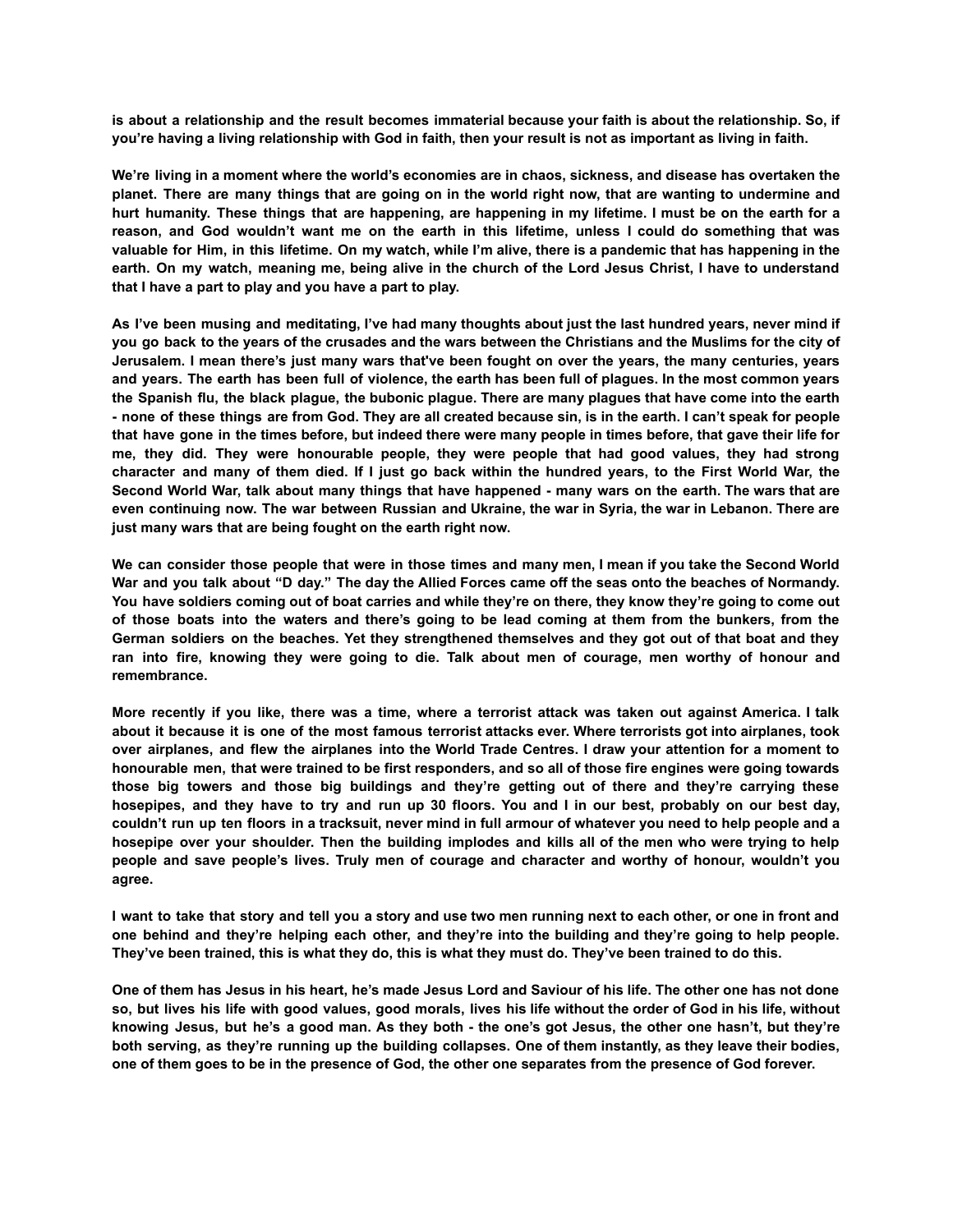is about a relationship and the result becomes immaterial because your faith is about the relationship. So, if **you're having a living relationship with God in faith, then your result is not as important as living in faith.**

We're living in a moment where the world's economies are in chaos, sickness, and disease has overtaken the planet. There are many things that are going on in the world right now, that are wanting to undermine and hurt humanity. These things that are happening, are happening in my lifetime. I must be on the earth for a reason, and God wouldn't want me on the earth in this lifetime, unless I could do something that was valuable for Him, in this lifetime. On my watch, while I'm alive, there is a pandemic that has happening in the earth. On my watch, meaning me, being alive in the church of the Lord Jesus Christ, I have to understand **that I have a part to play and you have a part to play.**

As I've been musing and meditating, I've had many thoughts about just the last hundred years, never mind if you go back to the years of the crusades and the wars between the Christians and the Muslims for the city of Jerusalem. I mean there's just many wars that've been fought on over the years, the many centuries, years and years. The earth has been full of violence, the earth has been full of plaques. In the most common years the Spanish flu, the black plague, the bubonic plague. There are many plagues that have come into the earth - none of these things are from God. They are all created because sin, is in the earth. I can't speak for people that have gone in the times before, but indeed there were many people in times before, that gave their life for **me, they did. They were honourable people, they were people that had good values, they had strong** character and many of them died. If I just go back within the hundred years, to the First World War, the Second World War, talk about many things that have happened - many wars on the earth. The wars that are even continuing now. The war between Russian and Ukraine, the war in Syria, the war in Lebanon. There are **just many wars that are being fought on the earth right now.**

We can consider those people that were in those times and many men, I mean if you take the Second World War and you talk about "D day." The day the Allied Forces came off the seas onto the beaches of Normandy. You have soldiers coming out of boat carries and while they're on there, they know they're going to come out of those boats into the waters and there's going to be lead coming at them from the bunkers, from the German soldiers on the beaches. Yet they strengthened themselves and they got out of that boat and they ran into fire, knowing they were going to die. Talk about men of courage, men worthy of honour and **remembrance.**

More recently if you like, there was a time, where a terrorist attack was taken out against America. I talk about it because it is one of the most famous terrorist attacks ever. Where terrorists got into airplanes, took over airplanes, and flew the airplanes into the World Trade Centres. I draw your attention for a moment to honourable men, that were trained to be first responders, and so all of those fire engines were going towards **those big towers and those big buildings and they're getting out of there and they're carrying these** hosepipes, and they have to try and run up 30 floors. You and I in our best, probably on our best day, couldn't run up ten floors in a tracksuit, never mind in full armour of whatever you need to help people and a hosepipe over your shoulder. Then the building implodes and kills all of the men who were trying to help **people and save people's lives. Truly men of courage and character and worthy of honour, wouldn't you agree.**

I want to take that story and tell you a story and use two men running next to each other, or one in front and one behind and they're helping each other, and they're into the building and they're going to help people. **They've been trained, this is what they do, this is what they must do. They've been trained to do this.**

One of them has Jesus in his heart, he's made Jesus Lord and Saviour of his life. The other one has not done so, but lives his life with good values, good morals, lives his life without the order of God in his life, without knowing Jesus, but he's a good man. As they both - the one's got Jesus, the other one hasn't, but they're both serving, as they're running up the building collapses. One of them instantly, as they leave their bodies, **one of them goes to be in the presence of God, the other one separates from the presence of God forever.**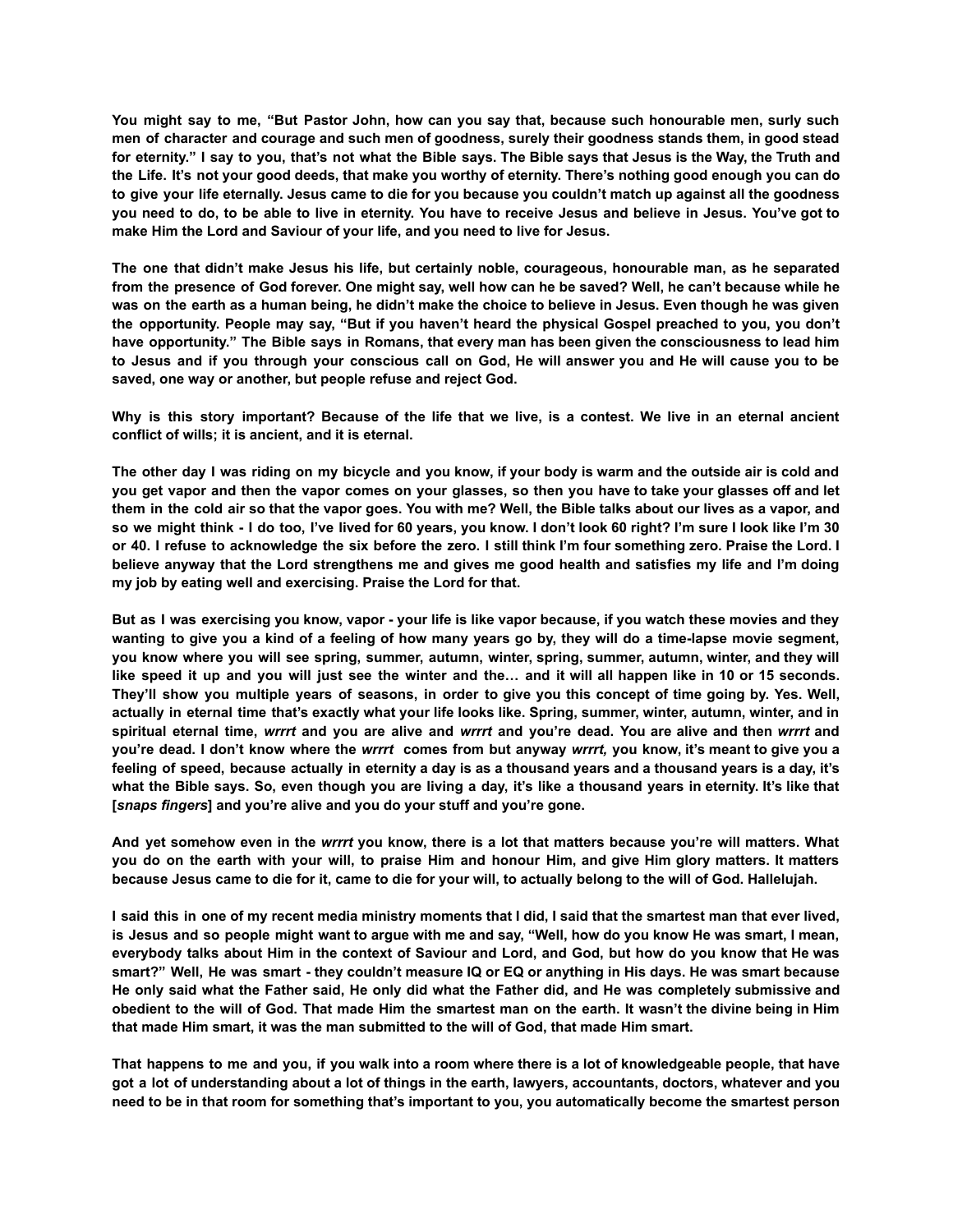You might say to me, "But Pastor John, how can you say that, because such honourable men, surly such men of character and courage and such men of goodness, surely their goodness stands them, in good stead for eternity." I say to you, that's not what the Bible says. The Bible says that Jesus is the Way, the Truth and the Life. It's not your good deeds, that make you worthy of eternity. There's nothing good enough you can do to give your life eternally. Jesus came to die for you because you couldn't match up against all the goodness you need to do, to be able to live in eternity. You have to receive Jesus and believe in Jesus. You've got to **make Him the Lord and Saviour of your life, and you need to live for Jesus.**

**The one that didn't make Jesus his life, but certainly noble, courageous, honourable man, as he separated** from the presence of God forever. One might say, well how can he be saved? Well, he can't because while he was on the earth as a human being, he didn't make the choice to believe in Jesus. Even though he was given the opportunity. People may say, "But if you haven't heard the physical Gospel preached to you, you don't have opportunity." The Bible says in Romans, that every man has been given the consciousness to lead him to Jesus and if you through your conscious call on God, He will answer you and He will cause you to be **saved, one way or another, but people refuse and reject God.**

Why is this story important? Because of the life that we live, is a contest. We live in an eternal ancient **conflict of wills; it is ancient, and it is eternal.**

The other day I was riding on my bicycle and you know, if your body is warm and the outside air is cold and you get vapor and then the vapor comes on your glasses, so then you have to take your glasses off and let them in the cold air so that the vapor goes. You with me? Well, the Bible talks about our lives as a vapor, and so we might think - I do too, I've lived for 60 years, you know. I don't look 60 right? I'm sure I look like I'm 30 or 40. I refuse to acknowledge the six before the zero. I still think I'm four something zero. Praise the Lord. I believe anyway that the Lord strengthens me and gives me good health and satisfies my life and I'm doing **my job by eating well and exercising. Praise the Lord for that.**

But as I was exercising you know, vapor - your life is like vapor because, if you watch these movies and they wanting to give you a kind of a feeling of how many years go by, they will do a time-lapse movie segment, **you know where you will see spring, summer, autumn, winter, spring, summer, autumn, winter, and they will** like speed it up and you will just see the winter and the... and it will all happen like in 10 or 15 seconds. They'll show you multiple years of seasons, in order to give you this concept of time going by. Yes. Well, actually in eternal time that's exactly what your life looks like. Spring, summer, winter, autumn, winter, and in spiritual eternal time, wrrrt and you are alive and wrrrt and you're dead. You are alive and then wrrrt and you're dead. I don't know where the wrrrt comes from but anyway wrrrt, you know, it's meant to give you a feeling of speed, because actually in eternity a day is as a thousand years and a thousand years is a day, it's what the Bible says. So, even though you are living a day, it's like a thousand years in eternity. It's like that **[***snaps fingers***] and you're alive and you do your stuff and you're gone.**

And yet somehow even in the wrrrt you know, there is a lot that matters because you're will matters. What you do on the earth with your will, to praise Him and honour Him, and give Him glory matters. It matters **because Jesus came to die for it, came to die for your will, to actually belong to the will of God. Hallelujah.**

I said this in one of my recent media ministry moments that I did, I said that the smartest man that ever lived, is Jesus and so people might want to argue with me and say, "Well, how do you know He was smart, I mean, everybody talks about Him in the context of Saviour and Lord, and God, but how do you know that He was smart?" Well, He was smart - they couldn't measure IQ or EQ or anything in His days. He was smart because He only said what the Father said, He only did what the Father did, and He was completely submissive and obedient to the will of God. That made Him the smartest man on the earth. It wasn't the divine being in Him **that made Him smart, it was the man submitted to the will of God, that made Him smart.**

That happens to me and you, if you walk into a room where there is a lot of knowledgeable people, that have got a lot of understanding about a lot of things in the earth, lawyers, accountants, doctors, whatever and you need to be in that room for something that's important to you, you automatically become the smartest person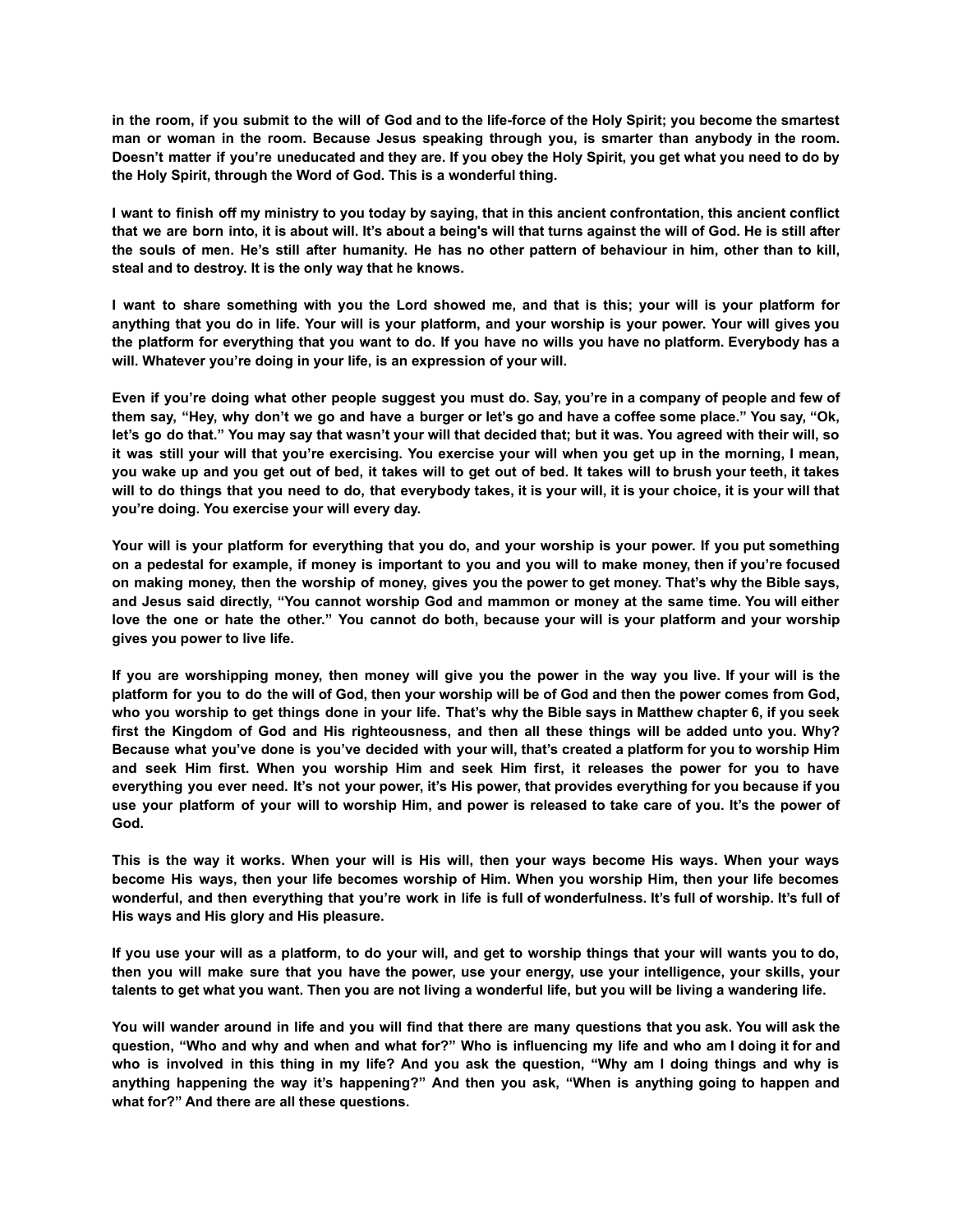in the room, if you submit to the will of God and to the life-force of the Holy Spirit; you become the smartest **man or woman in the room. Because Jesus speaking through you, is smarter than anybody in the room.** Doesn't matter if you're uneducated and they are. If you obey the Holy Spirit, you get what you need to do by **the Holy Spirit, through the Word of God. This is a wonderful thing.**

I want to finish off my ministry to you today by saying, that in this ancient confrontation, this ancient conflict that we are born into, it is about will. It's about a being's will that turns against the will of God. He is still after the souls of men. He's still after humanity. He has no other pattern of behaviour in him, other than to kill, **steal and to destroy. It is the only way that he knows.**

I want to share something with you the Lord showed me, and that is this; your will is your platform for anything that you do in life. Your will is your platform, and your worship is your power. Your will gives you the platform for everything that you want to do. If you have no wills you have no platform. Everybody has a **will. Whatever you're doing in your life, is an expression of your will.**

Even if you're doing what other people suggest you must do. Say, you're in a company of people and few of them say, "Hey, why don't we go and have a burger or let's go and have a coffee some place." You say, "Ok, let's go do that." You may say that wasn't your will that decided that; but it was. You agreed with their will, so it was still your will that you're exercising. You exercise your will when you get up in the morning, I mean, you wake up and you get out of bed, it takes will to get out of bed. It takes will to brush your teeth, it takes will to do things that you need to do, that everybody takes, it is your will, it is your choice, it is your will that **you're doing. You exercise your will every day.**

Your will is your platform for everything that you do, and your worship is your power. If you put something on a pedestal for example, if money is important to you and you will to make money, then if you're focused on making money, then the worship of money, gives you the power to get money. That's why the Bible says, and Jesus said directly, "You cannot worship God and mammon or money at the same time. You will either love the one or hate the other." You cannot do both, because your will is your platform and your worship **gives you power to live life.**

If you are worshipping money, then money will give you the power in the way you live. If your will is the platform for you to do the will of God, then your worship will be of God and then the power comes from God, who you worship to get things done in your life. That's why the Bible says in Matthew chapter 6, if you seek first the Kingdom of God and His righteousness, and then all these things will be added unto you. Why? Because what you've done is you've decided with your will, that's created a platform for you to worship Him and seek Him first. When you worship Him and seek Him first, it releases the power for you to have everything you ever need. It's not your power, it's His power, that provides everything for you because if you use your platform of your will to worship Him, and power is released to take care of you. It's the power of **God.**

This is the way it works. When your will is His will, then your ways become His ways. When your ways become His ways, then your life becomes worship of Him. When you worship Him, then your life becomes wonderful, and then everything that you're work in life is full of wonderfulness. It's full of worship. It's full of **His ways and His glory and His pleasure.**

If you use your will as a platform, to do your will, and get to worship things that your will wants you to do, then you will make sure that you have the power, use your energy, use your intelligence, your skills, your **talents to get what you want. Then you are not living a wonderful life, but you will be living a wandering life.**

You will wander around in life and you will find that there are many questions that you ask. You will ask the question, "Who and why and when and what for?" Who is influencing my life and who am I doing it for and who is involved in this thing in my life? And you ask the question, "Why am I doing things and why is **anything happening the way it's happening?" And then you ask, "When is anything going to happen and what for?" And there are all these questions.**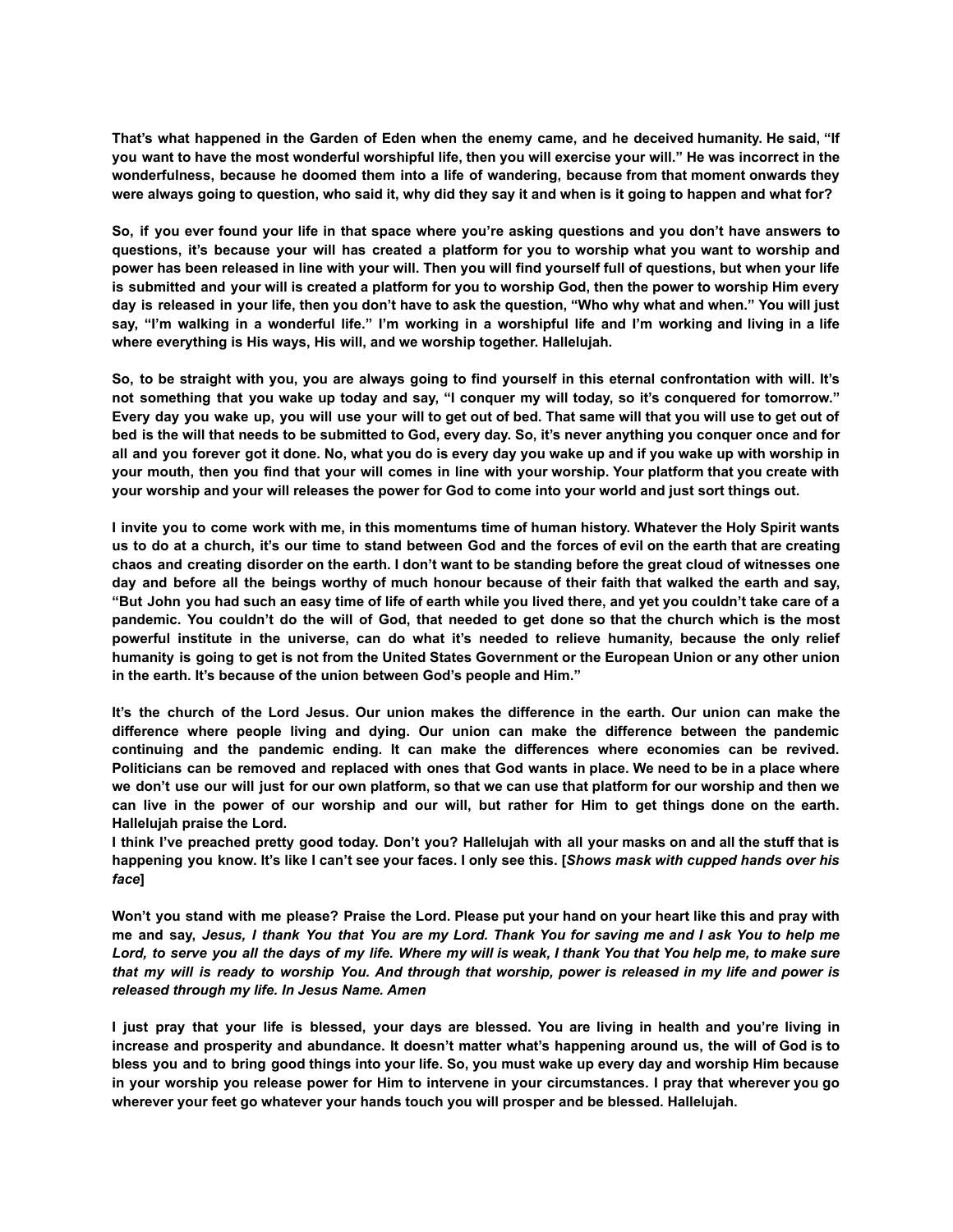That's what happened in the Garden of Eden when the enemy came, and he deceived humanity. He said, "If you want to have the most wonderful worshipful life, then you will exercise your will." He was incorrect in the **wonderfulness, because he doomed them into a life of wandering, because from that moment onwards they were always going to question, who said it, why did they say it and when is it going to happen and what for?**

So, if you ever found your life in that space where you're asking questions and you don't have answers to questions, it's because your will has created a platform for you to worship what you want to worship and power has been released in line with your will. Then you will find yourself full of questions, but when your life is submitted and your will is created a platform for you to worship God, then the power to worship Him every day is released in your life, then you don't have to ask the question, "Who why what and when." You will just say, "I'm walking in a wonderful life." I'm working in a worshipful life and I'm working and living in a life **where everything is His ways, His will, and we worship together. Hallelujah.**

So, to be straight with you, you are always going to find yourself in this eternal confrontation with will. It's not something that you wake up today and say, "I conquer my will today, so it's conquered for tomorrow." Every day you wake up, you will use your will to get out of bed. That same will that you will use to get out of bed is the will that needs to be submitted to God, every day. So, it's never anything you conquer once and for all and you forever got it done. No, what you do is every day you wake up and if you wake up with worship in your mouth, then you find that your will comes in line with your worship. Your platform that you create with **your worship and your will releases the power for God to come into your world and just sort things out.**

I invite you to come work with me, in this momentums time of human history. Whatever the Holy Spirit wants us to do at a church, it's our time to stand between God and the forces of evil on the earth that are creating chaos and creating disorder on the earth. I don't want to be standing before the great cloud of witnesses one day and before all the beings worthy of much honour because of their faith that walked the earth and say, "But John you had such an easy time of life of earth while you lived there, and yet you couldn't take care of a pandemic. You couldn't do the will of God, that needed to get done so that the church which is the most **powerful institute in the universe, can do what it's needed to relieve humanity, because the only relief** humanity is going to get is not from the United States Government or the European Union or any other union **in the earth. It's because of the union between God's people and Him."**

It's the church of the Lord Jesus. Our union makes the difference in the earth. Our union can make the **difference where people living and dying. Our union can make the difference between the pandemic continuing and the pandemic ending. It can make the differences where economies can be revived.** Politicians can be removed and replaced with ones that God wants in place. We need to be in a place where we don't use our will just for our own platform, so that we can use that platform for our worship and then we can live in the power of our worship and our will, but rather for Him to get things done on the earth. **Hallelujah praise the Lord.**

I think I've preached pretty good today. Don't you? Hallelujah with all your masks on and all the stuff that is happening you know. It's like I can't see your faces. I only see this. [Shows mask with cupped hands over his *face***]**

Won't you stand with me please? Praise the Lord. Please put your hand on your heart like this and pray with me and say, Jesus, I thank You that You are my Lord. Thank You for saving me and I ask You to help me Lord, to serve you all the days of my life. Where my will is weak, I thank You that You help me, to make sure that my will is ready to worship You. And through that worship, power is released in my life and power is *released through my life. In Jesus Name. Amen*

I just pray that your life is blessed, your days are blessed. You are living in health and you're living in increase and prosperity and abundance. It doesn't matter what's happening around us, the will of God is to bless you and to bring good things into your life. So, you must wake up every day and worship Him because in your worship you release power for Him to intervene in your circumstances. I pray that wherever you go **wherever your feet go whatever your hands touch you will prosper and be blessed. Hallelujah.**